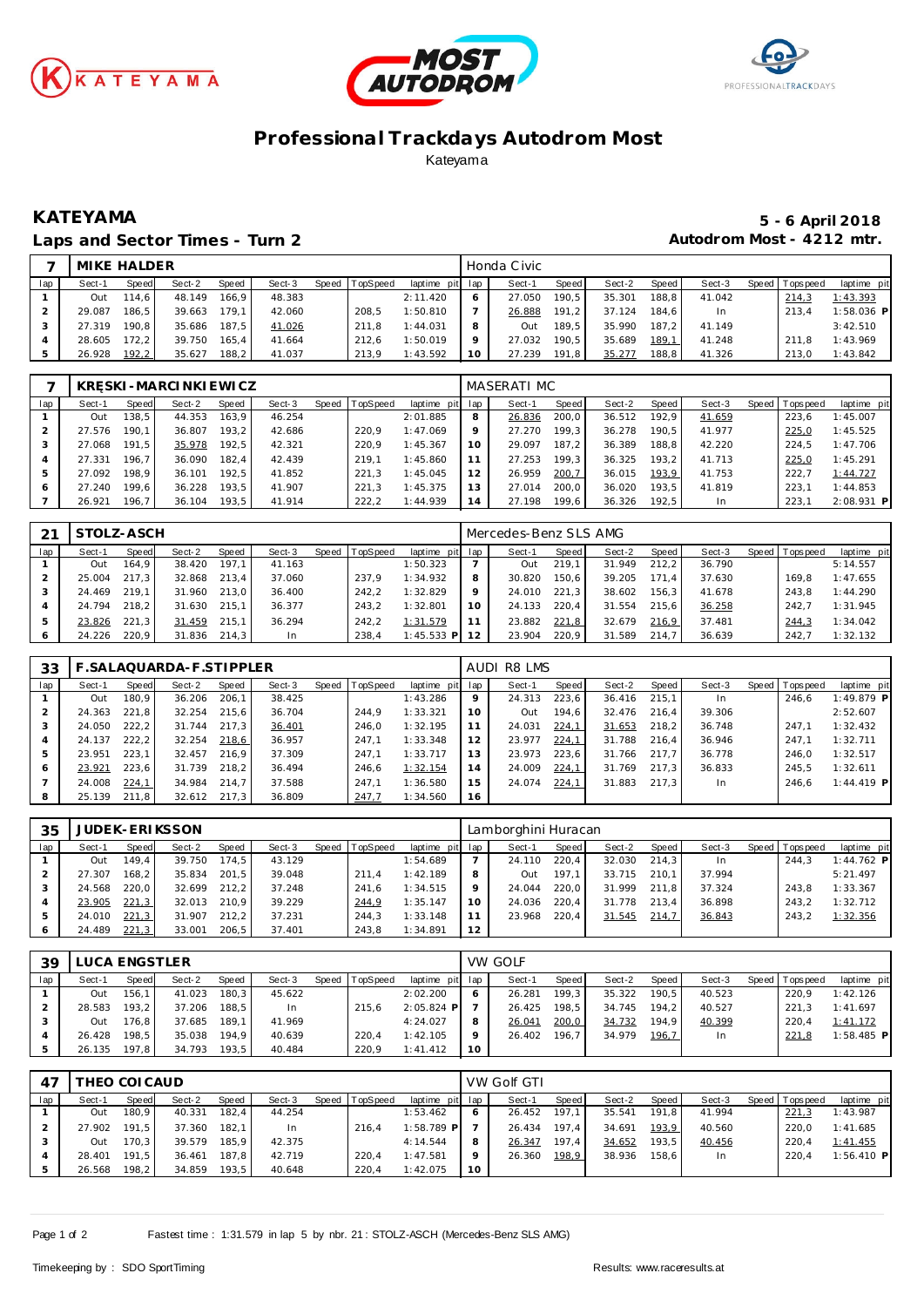





## **Professional Trackdays Autodrom Most** Kateyama

### Laps and Sector Times - Turn 2 **Autodrom Most - 4212 mtr.**

# **KATEYAMA 5 - 6 April 2018**

|     | MIKE HALDER |       |        |       |        |       |                 |                 |    | Honda Civic |                    |        |                    |        |                 |              |
|-----|-------------|-------|--------|-------|--------|-------|-----------------|-----------------|----|-------------|--------------------|--------|--------------------|--------|-----------------|--------------|
| lap | Sect-1      | Speed | Sect-2 | Speed | Sect-3 | Speed | <b>TopSpeed</b> | laptime pit lap |    | Sect-1      | Speed I            | Sect-2 | Speed              | Sect-3 | Speed Tops peed | laptime pit  |
|     | Out         | 114.6 | 48.149 | 166.9 | 48.383 |       |                 | 2:11.420        |    | 27.050      | 190.5 <sub>1</sub> | 35.301 | 188.8 <sub>1</sub> | 41.042 | 214,3           | 1:43.393     |
|     | 29.087      | 186.5 | 39.663 | 179.1 | 42.060 |       | 208.5           | 1:50.810        |    | 26.888      | 191.2              | 37.124 | 184.6              | In.    | 213.4           | $1:58.036$ P |
|     | 27.319      | 190.8 | 35.686 | 187.5 | 41.026 |       | 211.8           | 1:44.031        |    | Out         | 189.5              | 35.990 | 187.2              | 41.149 |                 | 3:42.510     |
|     | 28.605      | 172.2 | 39.750 | 165.4 | 41.664 |       | 212.6           | 1:50.019        |    | 27.032      | 190.5              | 35.689 | 189.1              | 41.248 | 211.8           | 1:43.969     |
|     | 26.928      | 192,2 | 35.627 | 188.2 | 41.037 |       | 213.9           | 1:43.592        | 10 | 27.239      | 191.8              | 35.277 | 188.8              | 41.326 | 213.0           | 1:43.842     |

|     | K R    |       | SKI-MARCINKIEWICZ |       |        |       |          |                 |         | MASERATI MC |       |        |         |        |                 |              |
|-----|--------|-------|-------------------|-------|--------|-------|----------|-----------------|---------|-------------|-------|--------|---------|--------|-----------------|--------------|
| lap | Sect-1 | Speed | Sect-2            | Speed | Sect-3 | Speed | TopSpeed | laptime pit lap |         | Sect-1      | Speed | Sect-2 | Speed ! | Sect-3 | Speed Tops peed | laptime pit  |
|     | Out    | 138.5 | 44.353            | 163.9 | 46.254 |       |          | 2:01.885        | 8       | 26.836      | 200.0 | 36.512 | 192.9   | 41.659 | 223.6           | 1:45.007     |
|     | 27.576 | 190.  | 36.807            | 193.2 | 42.686 |       | 220.9    | 1:47.069        | $\circ$ | 27.270      | 199.3 | 36.278 | 190.5   | 41.977 | 225,0           | 1:45.525     |
|     | 27.068 | 191.5 | 35.978            | 192.5 | 42.321 |       | 220.9    | 1:45.367        | 10      | 29.097      | 187.2 | 36.389 | 188.8   | 42.220 | 224.5           | 1:47.706     |
|     | 27.331 | 196.7 | 36.090            | 182.4 | 42.439 |       | 219.1    | 1:45.860        |         | 27.253      | 199.3 | 36.325 | 193.2   | 41.713 | 225,0           | 1:45.291     |
|     | 27.092 | 198.9 | 36.101            | 192.5 | 41.852 |       | 221.3    | 1:45.045        | 12      | 26.959      | 200,7 | 36.015 | 193.9   | 41.753 | 222.7           | 1:44.727     |
| 6   | 27.240 | 199.6 | 36.228            | 193.5 | 41.907 |       | 221.3    | 1:45.375        | 13      | 27.014      | 200.0 | 36.020 | 193.5   | 41.819 | 223.7           | 1:44.853     |
|     | 26.921 | 196.7 | 36.104            | 193,5 | 41.914 |       | 222,2    | 1:44.939        |         | 27.198      | 199.6 | 36.326 | 192,5   | In     | 223.7           | $2:08.931$ P |

| 21  | STOLZ-ASCH |           |        |       |        |       |          |                 |         | Mercedes-Benz SLS AMG |       |        |       |        |         |             |             |
|-----|------------|-----------|--------|-------|--------|-------|----------|-----------------|---------|-----------------------|-------|--------|-------|--------|---------|-------------|-------------|
| lap | Sect-1     | Speed     | Sect-2 | Speed | Sect-3 | Speed | TopSpeed | laptime pit lap |         | Sect-1                | Speed | Sect-2 | Speed | Sect-3 | Speed I | T ops pee d | laptime pit |
|     | Out        | 164.9     | 38.420 | 197.1 | 41.163 |       |          | 1:50.323        |         | Out                   | 219.1 | 31.949 | 212.2 | 36.790 |         |             | 5:14.557    |
|     | 25.004     | 217.3     | 32.868 | 213.4 | 37.060 |       | 237.9    | 1:34.932        | 8       | 30.820                | 150.6 | 39.205 | 171.4 | 37.630 |         | 169.8       | 1:47.655    |
|     | 24.469     | 219.1     | 31.960 | 213.0 | 36.400 |       | 242.2    | 1:32.829        | $\circ$ | 24.010                | 221.3 | 38.602 | 156.3 | 41.678 |         | 243.8       | 1:44.290    |
|     | 24.794     | 218.2     | 31.630 | 215.1 | 36.377 |       | 243.2    | 1:32.801        | 10      | 24.133                | 220.4 | 31.554 | 215.6 | 36.258 |         | 242.7       | 1:31.945    |
|     | 23.826     | 221<br>.3 | 31.459 | 215.1 | 36.294 |       | 242.2    | 1:31.579        |         | 23.882                | 221,8 | 32.679 | 216.9 | 37.481 |         | 244.3       | 1:34.042    |
|     | 24.226     | 220.9     | 31.836 | 214.3 | In     |       | 238.4    | $1:45.533$ P    |         | 23.904                | 220.9 | 31.589 | 214.7 | 36.639 |         | 242.7       | 1:32.132    |

| 33  |        |       | . SALAQUARDA-F.STIPPLER |       |        |       |          |                 |    | AUDI R8 LMS |       |        |       |        |                 |              |
|-----|--------|-------|-------------------------|-------|--------|-------|----------|-----------------|----|-------------|-------|--------|-------|--------|-----------------|--------------|
| lap | Sect-1 | Speed | Sect-2                  | Speed | Sect-3 | Speed | TopSpeed | laptime pit lap |    | Sect-1      | Speed | Sect-2 | Speed | Sect-3 | Speed Tops peed | laptime pit  |
|     | Out    | 180.9 | 36.206                  | 206.1 | 38.425 |       |          | 1:43.286        | 9  | 24.313      | 223,6 | 36.416 | 215.1 | In.    | 246.6           | $1:49.879$ P |
|     | 24.363 | 221.8 | 32.254                  | 215.6 | 36.704 |       | 244.9    | 1:33.321        | 10 | Out         | 194.6 | 32.476 | 216.4 | 39.306 |                 | 2:52.607     |
|     | 24.050 | 222.2 | 31.744                  | 217.3 | 36.401 |       | 246.0    | 1:32.195        |    | 24.031      | 224,1 | 31.653 | 218.2 | 36.748 | 247.1           | 1:32.432     |
|     | 24.137 | 222.2 | 32.254                  | 218.6 | 36.957 |       | 247.1    | 1:33.348        | 12 | 23.977      | 224,1 | 31.788 | 216.4 | 36.946 | 247.1           | 1:32.711     |
| 5   | 23.951 | 223.1 | 32.457                  | 216.9 | 37.309 |       | 247.1    | 1:33.717        | 13 | 23.973      | 223.6 | 31.766 | 217.7 | 36.778 | 246.0           | 1:32.517     |
| 6   | 23.921 | 223.6 | 31.739                  | 218.2 | 36.494 |       | 246.6    | 1:32.154        | 14 | 24.009      | 224,1 | 31.769 | 217.3 | 36.833 | 245.5           | 1:32.611     |
|     | 24.008 | 224,1 | 34.984                  | 214.7 | 37.588 |       | 247.1    | 1:36.580        | 15 | 24.074      | 224,1 | 31.883 | 217.3 | In.    | 246.6           | $1:44.419$ P |
| 8   | 25.139 | 211.8 | 32.612                  | 217.3 | 36.809 |       | 247,7    | 1:34.560        | 16 |             |       |        |       |        |                 |              |

| 35  |        |       | <b>JUDEK-ERIKSSON</b> |       |        |                |                 |    | Lamborghini Huracan |       |        |       |        |                 |              |
|-----|--------|-------|-----------------------|-------|--------|----------------|-----------------|----|---------------------|-------|--------|-------|--------|-----------------|--------------|
| lap | Sect-1 | Speed | Sect-2                | Speed | Sect-3 | Speed TopSpeed | laptime pit lap |    | Sect-1              | Speed | Sect-2 | Speed | Sect-3 | Speed Tops peed | laptime pit  |
|     | Out    | 149.4 | 39.750                | 174.5 | 43.129 |                | 1:54.689        |    | 24.110              | 220.4 | 32.030 | 214.3 | In.    | 244.3           | $1:44.762$ P |
|     | 27.307 | 168.2 | 35.834                | 201.5 | 39.048 | 211.4          | 1:42.189        |    | Out                 | 197.1 | 33.715 | 210.1 | 37.994 |                 | 5:21.497     |
|     | 24.568 | 220.0 | 32.699                | 212.2 | 37.248 | 241.6          | 1:34.515        |    | 24.044              | 220.0 | 31.999 | 211.8 | 37.324 | 243.8           | 1:33.367     |
|     | 23.905 | 221,3 | 32.013                | 210.9 | 39.229 | 244,9          | 1:35.147        | 10 | 24.036              | 220.4 | 31.778 | 213.4 | 36.898 | 243.2           | 1:32.712     |
| 5   | 24.010 | 221,3 | 31.907                | 212.2 | 37.231 | 244.3          | 1:33.148        |    | 23.968              | 220.4 | 31.545 | 214.7 | 36.843 | 243.2           | 1:32.356     |
| 6   | 24.489 | 221,3 | 33.001                | 206.5 | 37.401 | 243,8          | 1:34.891        | 12 |                     |       |        |       |        |                 |              |

| 39  | LUCA ENGSTLER |       |        |       |        |                |              |              | <b>VW GOLF</b> |                    |        |       |        |       |            |              |
|-----|---------------|-------|--------|-------|--------|----------------|--------------|--------------|----------------|--------------------|--------|-------|--------|-------|------------|--------------|
| lap | Sect-1        | Speed | Sect-2 | Speed | Sect-3 | Speed TopSpeed | laptime pit  | lap          | Sect-1         | Speed              | Sect-2 | Speed | Sect-3 | Speed | T ops peed | laptime pit  |
|     | Out           | 156.  | 41.023 | 180.3 | 45.622 |                | 2:02.200     | <sup>6</sup> | 26.281         | 199.3 <sub>1</sub> | 35.322 | 190.5 | 40.523 |       | 220.9      | 1:42.126     |
|     | 28.583        | 193.2 | 37.206 | 188.5 | In     | 215.6          | $2:05.824$ P |              | 26.425         | 198.5              | 34.745 | 194.2 | 40.527 |       | 221.3      | 1:41.697     |
|     | Out           | 76.8  | 37.685 | 189.1 | 41.969 |                | 4:24.027     | 8            | 26.041         | 200,0              | 34.732 | 194.9 | 40.399 |       | 220.4      | 1:41.172     |
|     | 26.428        | 198.5 | 35.038 | 194.9 | 40.639 | 220.4          | 1:42.105     | $\circ$      | 26.402         | 196.7              | 34.979 | 196.7 | In.    |       | 221,8      | $1:58.485$ P |
|     | 135<br>26.    | 197.8 | 34.793 | 193.5 | 40.484 | 220.9          | 1:41.412     | 10           |                |                    |        |       |        |       |            |              |

| 47  |        | THEO COI CAUD |        |       |           |                |                 |    | VW Golf GTI |       |        |       |        |                |              |
|-----|--------|---------------|--------|-------|-----------|----------------|-----------------|----|-------------|-------|--------|-------|--------|----------------|--------------|
| lap | Sect-1 | Speed         | Sect-2 | Speed | Sect-3    | Speed TopSpeed | laptime pit lap |    | Sect-1      | Speed | Sect-2 | Speed | Sect-3 | Speed Topspeed | laptime pit  |
|     | Out    | 180.9         | 40.331 | 182.4 | 44.254    |                | 1:53.462        | 6  | 26.452      | 197.1 | 35.541 | 191.8 | 41.994 | 221,3          | 1:43.987     |
|     | 27.902 | 191.5         | 37.360 | 182.1 | <b>In</b> | 216.4          | $1:58.789$ P    |    | 26.434      | 197.4 | 34.691 | 193.9 | 40.560 | 220.0          | 1:41.685     |
|     | Out    | 170.3         | 39.579 | 185.9 | 42.375    |                | 4:14.544        | 8  | 26.347      | 197.4 | 34.652 | 193.5 | 40.456 | 220.4          | 1:41.455     |
|     | 28.401 | 191.5         | 36.461 | 187.8 | 42.719    | 220.4          | 1:47.581        | 9  | 26.360      | 198,9 | 38.936 | 158.6 | In.    | 220.4          | $1:56.410$ P |
|     | 26.568 | 198.2         | 34.859 | 193.5 | 40.648    | 220.4          | 1:42.075        | 10 |             |       |        |       |        |                |              |

Page 1 of 2 Fastest time : 1:31.579 in lap 5 by nbr. 21 : STOLZ-ASCH (Mercedes-Benz SLS AMG)